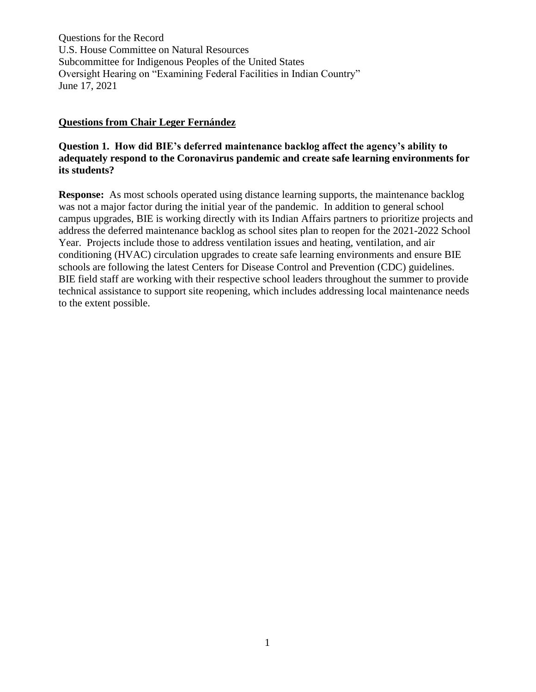#### **Questions from Chair Leger Fernández**

## **Question 1. How did BIE's deferred maintenance backlog affect the agency's ability to adequately respond to the Coronavirus pandemic and create safe learning environments for its students?**

**Response:** As most schools operated using distance learning supports, the maintenance backlog was not a major factor during the initial year of the pandemic. In addition to general school campus upgrades, BIE is working directly with its Indian Affairs partners to prioritize projects and address the deferred maintenance backlog as school sites plan to reopen for the 2021-2022 School Year. Projects include those to address ventilation issues and heating, ventilation, and air conditioning (HVAC) circulation upgrades to create safe learning environments and ensure BIE schools are following the latest Centers for Disease Control and Prevention (CDC) guidelines. BIE field staff are working with their respective school leaders throughout the summer to provide technical assistance to support site reopening, which includes addressing local maintenance needs to the extent possible.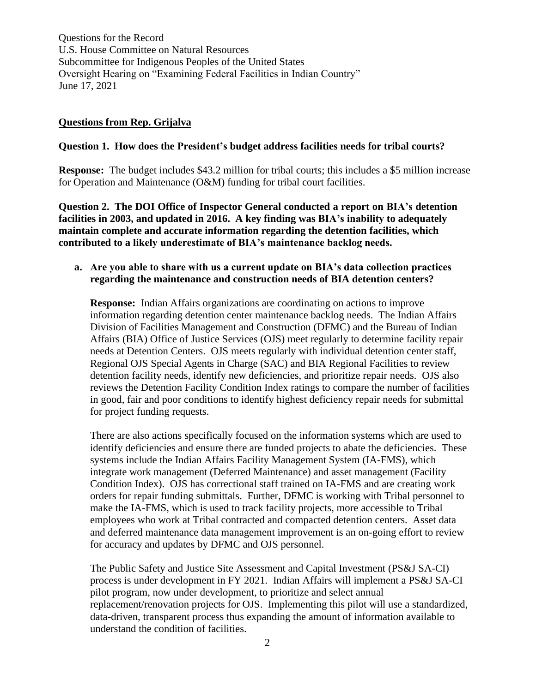#### **Questions from Rep. Grijalva**

#### **Question 1. How does the President's budget address facilities needs for tribal courts?**

**Response:** The budget includes \$43.2 million for tribal courts; this includes a \$5 million increase for Operation and Maintenance (O&M) funding for tribal court facilities.

**Question 2. The DOI Office of Inspector General conducted a report on BIA's detention facilities in 2003, and updated in 2016. A key finding was BIA's inability to adequately maintain complete and accurate information regarding the detention facilities, which contributed to a likely underestimate of BIA's maintenance backlog needs.**

## **a. Are you able to share with us a current update on BIA's data collection practices regarding the maintenance and construction needs of BIA detention centers?**

**Response:** Indian Affairs organizations are coordinating on actions to improve information regarding detention center maintenance backlog needs. The Indian Affairs Division of Facilities Management and Construction (DFMC) and the Bureau of Indian Affairs (BIA) Office of Justice Services (OJS) meet regularly to determine facility repair needs at Detention Centers. OJS meets regularly with individual detention center staff, Regional OJS Special Agents in Charge (SAC) and BIA Regional Facilities to review detention facility needs, identify new deficiencies, and prioritize repair needs. OJS also reviews the Detention Facility Condition Index ratings to compare the number of facilities in good, fair and poor conditions to identify highest deficiency repair needs for submittal for project funding requests.

There are also actions specifically focused on the information systems which are used to identify deficiencies and ensure there are funded projects to abate the deficiencies. These systems include the Indian Affairs Facility Management System (IA-FMS), which integrate work management (Deferred Maintenance) and asset management (Facility Condition Index). OJS has correctional staff trained on IA-FMS and are creating work orders for repair funding submittals. Further, DFMC is working with Tribal personnel to make the IA-FMS, which is used to track facility projects, more accessible to Tribal employees who work at Tribal contracted and compacted detention centers. Asset data and deferred maintenance data management improvement is an on-going effort to review for accuracy and updates by DFMC and OJS personnel.

The Public Safety and Justice Site Assessment and Capital Investment (PS&J SA-CI) process is under development in FY 2021. Indian Affairs will implement a PS&J SA-CI pilot program, now under development, to prioritize and select annual replacement/renovation projects for OJS. Implementing this pilot will use a standardized, data-driven, transparent process thus expanding the amount of information available to understand the condition of facilities.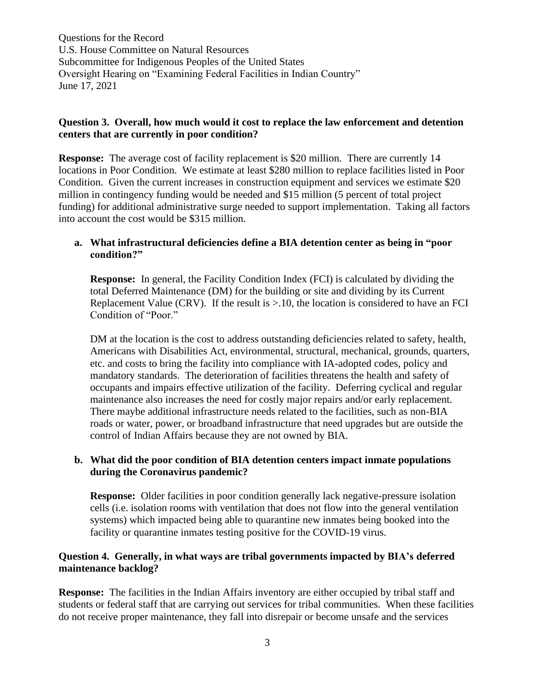## **Question 3. Overall, how much would it cost to replace the law enforcement and detention centers that are currently in poor condition?**

**Response:** The average cost of facility replacement is \$20 million. There are currently 14 locations in Poor Condition. We estimate at least \$280 million to replace facilities listed in Poor Condition. Given the current increases in construction equipment and services we estimate \$20 million in contingency funding would be needed and \$15 million (5 percent of total project funding) for additional administrative surge needed to support implementation. Taking all factors into account the cost would be \$315 million.

## **a. What infrastructural deficiencies define a BIA detention center as being in "poor condition?"**

**Response:** In general, the Facility Condition Index (FCI) is calculated by dividing the total Deferred Maintenance (DM) for the building or site and dividing by its Current Replacement Value (CRV). If the result is  $>10$ , the location is considered to have an FCI Condition of "Poor."

DM at the location is the cost to address outstanding deficiencies related to safety, health, Americans with Disabilities Act, environmental, structural, mechanical, grounds, quarters, etc. and costs to bring the facility into compliance with IA-adopted codes, policy and mandatory standards. The deterioration of facilities threatens the health and safety of occupants and impairs effective utilization of the facility. Deferring cyclical and regular maintenance also increases the need for costly major repairs and/or early replacement. There maybe additional infrastructure needs related to the facilities, such as non-BIA roads or water, power, or broadband infrastructure that need upgrades but are outside the control of Indian Affairs because they are not owned by BIA.

## **b. What did the poor condition of BIA detention centers impact inmate populations during the Coronavirus pandemic?**

**Response:** Older facilities in poor condition generally lack negative-pressure isolation cells (i.e. isolation rooms with ventilation that does not flow into the general ventilation systems) which impacted being able to quarantine new inmates being booked into the facility or quarantine inmates testing positive for the COVID-19 virus.

# **Question 4. Generally, in what ways are tribal governments impacted by BIA's deferred maintenance backlog?**

**Response:** The facilities in the Indian Affairs inventory are either occupied by tribal staff and students or federal staff that are carrying out services for tribal communities. When these facilities do not receive proper maintenance, they fall into disrepair or become unsafe and the services